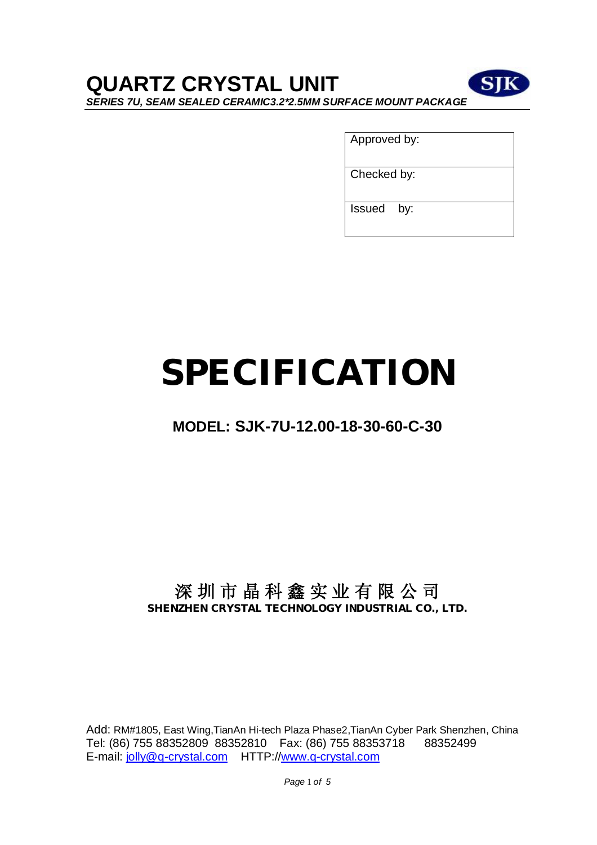# **QUARTZ CRYSTAL UNIT**



Approved by:

Checked by:

Issued by:

# **SPECIFICATION**

## **MODEL: SJK-7U-12.00-18-30-60-C-30**

### **深 圳 市 晶 科 鑫 实 业 有 限 公 司 SHENZHEN CRYSTAL TECHNOLOGY INDUSTRIAL CO., LTD.**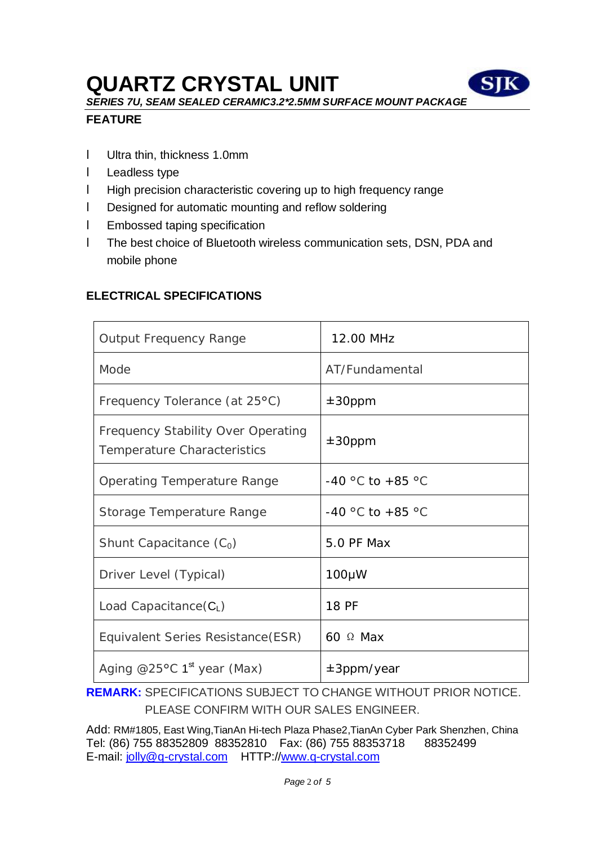# **QUARTZ CRYSTAL UNIT**



*SERIES 7U, SEAM SEALED CERAMIC3.2\*2.5MM SURFACE MOUNT PACKAGE* 

#### **FEATURE**

- l Ultra thin, thickness 1.0mm
- l Leadless type
- l High precision characteristic covering up to high frequency range
- l Designed for automatic mounting and reflow soldering
- l Embossed taping specification
- l The best choice of Bluetooth wireless communication sets, DSN, PDA and mobile phone

#### **ELECTRICAL SPECIFICATIONS**

| <b>Output Frequency Range</b>                                                   | 12.00 MHz         |
|---------------------------------------------------------------------------------|-------------------|
| Mode                                                                            | AT/Fundamental    |
| Frequency Tolerance (at 25°C)                                                   | $±30$ ppm         |
| <b>Frequency Stability Over Operating</b><br><b>Temperature Characteristics</b> | $±30$ ppm         |
| <b>Operating Temperature Range</b>                                              | -40 °C to +85 °C  |
| <b>Storage Temperature Range</b>                                                | -40 °C to +85 °C  |
| Shunt Capacitance $(C_0)$                                                       | <b>5.0 PF Max</b> |
| Driver Level (Typical)                                                          | $100 \mu W$       |
| Load Capacitance $(C_L)$                                                        | <b>18 PF</b>      |
| Equivalent Series Resistance (ESR)                                              | 60 $\Omega$ Max   |
| Aging @25 $\degree$ C 1 <sup>st</sup> year (Max)                                | $±3$ ppm/year     |

**REMARK:** SPECIFICATIONS SUBJECT TO CHANGE WITHOUT PRIOR NOTICE. PLEASE CONFIRM WITH OUR SALES ENGINEER.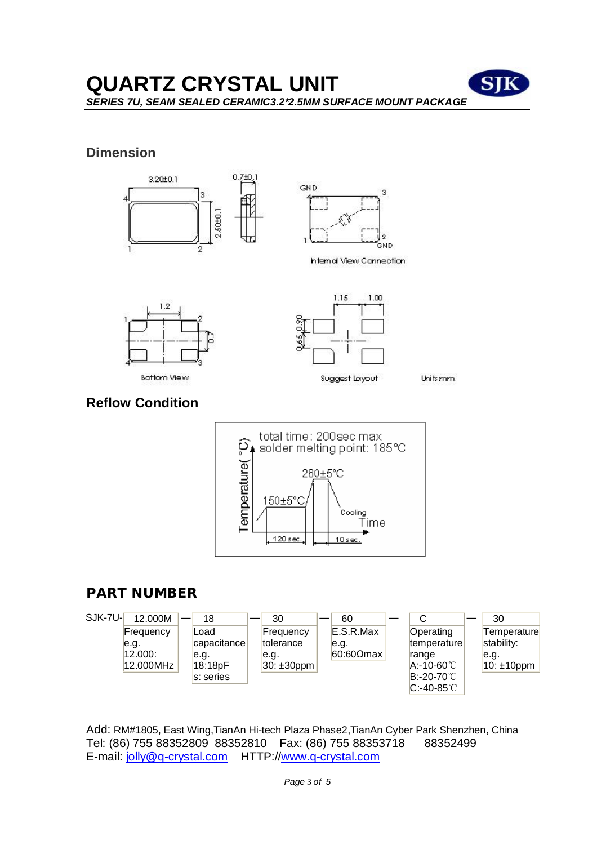### **QUARTZ CRYSTAL UNIT**  *SERIES 7U, SEAM SEALED CERAMIC3.2\*2.5MM SURFACE MOUNT PACKAGE*

#### **Dimension**





Internal View Connection.





Units mm

#### **Reflow Condition**



#### **PART NUMBER**

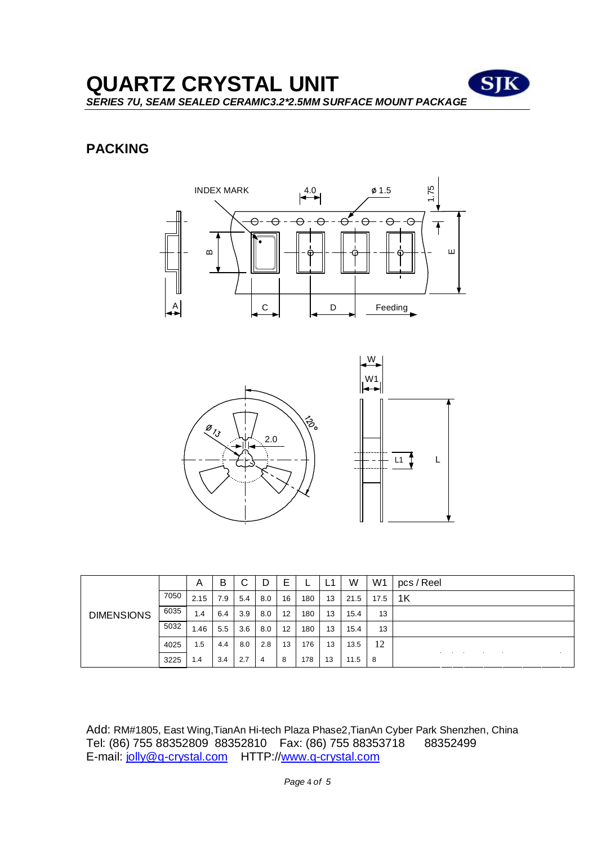**QUARTZ CRYSTAL UNIT SIK** *SERIES 7U, SEAM SEALED CERAMIC3.2\*2.5MM SURFACE MOUNT PACKAGE* 

#### **PACKING**





| <b>DIMENSIONS</b> |      | A    | B   | C   | D   | E  |     | l 1<br>ы, | W    | W <sub>1</sub> | pcs / Reel |
|-------------------|------|------|-----|-----|-----|----|-----|-----------|------|----------------|------------|
|                   | 7050 | 2.15 | 7.9 | 5.4 | 8.0 | 16 | 180 | 13        | 21.5 | 17.5           | 1K         |
|                   | 6035 | 1.4  | 6.4 | 3.9 | 8.0 | 12 | 180 | 13        | 15.4 | 13             |            |
|                   | 5032 | 1.46 | 5.5 | 3.6 | 8.0 | 12 | 180 | 13        | 15.4 | 13             |            |
|                   | 4025 | 1.5  | 4.4 | 8.0 | 2.8 | 13 | 176 | 13        | 13.5 | 12             |            |
|                   | 3225 | 1.4  | 3.4 | 2.7 | 4   | 8  | 178 | 13        | 11.5 | 8              |            |